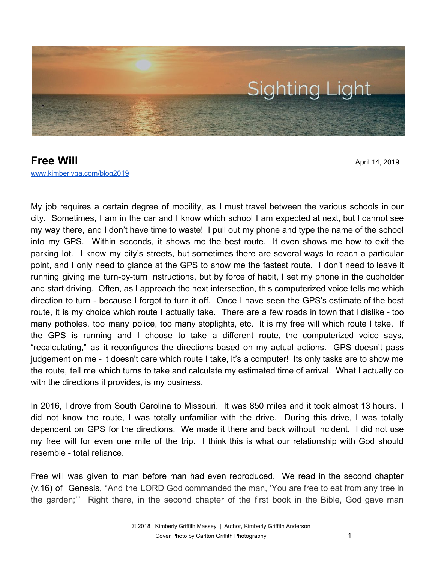

**Free Will** April 14, 2019 [www.kimberlyga.com/blog2019](http://www.kimberlyga.com/blog)

My job requires a certain degree of mobility, as I must travel between the various schools in our city. Sometimes, I am in the car and I know which school I am expected at next, but I cannot see my way there, and I don't have time to waste! I pull out my phone and type the name of the school into my GPS. Within seconds, it shows me the best route. It even shows me how to exit the parking lot. I know my city's streets, but sometimes there are several ways to reach a particular point, and I only need to glance at the GPS to show me the fastest route. I don't need to leave it running giving me turn-by-turn instructions, but by force of habit, I set my phone in the cupholder and start driving. Often, as I approach the next intersection, this computerized voice tells me which direction to turn - because I forgot to turn it off. Once I have seen the GPS's estimate of the best route, it is my choice which route I actually take. There are a few roads in town that I dislike - too many potholes, too many police, too many stoplights, etc. It is my free will which route I take. If the GPS is running and I choose to take a different route, the computerized voice says, "recalculating," as it reconfigures the directions based on my actual actions. GPS doesn't pass judgement on me - it doesn't care which route I take, it's a computer! Its only tasks are to show me the route, tell me which turns to take and calculate my estimated time of arrival. What I actually do with the directions it provides, is my business.

In 2016, I drove from South Carolina to Missouri. It was 850 miles and it took almost 13 hours. I did not know the route, I was totally unfamiliar with the drive. During this drive, I was totally dependent on GPS for the directions. We made it there and back without incident. I did not use my free will for even one mile of the trip. I think this is what our relationship with God should resemble - total reliance.

Free will was given to man before man had even reproduced. We read in the second chapter (v.16) of Genesis, "And the LORD God commanded the man, 'You are free to eat from any tree in the garden;'" Right there, in the second chapter of the first book in the Bible, God gave man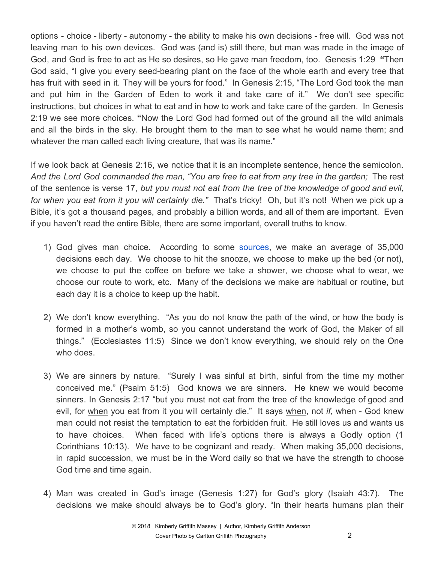options - choice - liberty - autonomy - the ability to make his own decisions - free will. God was not leaving man to his own devices. God was (and is) still there, but man was made in the image of God, and God is free to act as He so desires, so He gave man freedom, too. Genesis 1:29 **"**Then God said, "I give you every seed-bearing plant on the face of the whole earth and every tree that has fruit with seed in it. They will be yours for food." In Genesis 2:15, "The Lord God took the man and put him in the Garden of Eden to work it and take care of it." We don't see specific instructions, but choices in what to eat and in how to work and take care of the garden. In Genesis 2:19 we see more choices. **"**Now the Lord God had formed out of the ground all the wild animals and all the birds in the sky. He brought them to the man to see what he would name them; and whatever the man called each living creature, that was its name."

If we look back at Genesis 2:16, we notice that it is an incomplete sentence, hence the semicolon. *And the Lord God commanded the man, "You are free to eat from any tree in the garden;* The rest of the sentence is verse 17, *but you must not eat from the tree of the knowledge of good and evil, for when you eat from it you will certainly die."* That's tricky! Oh, but it's not! When we pick up a Bible, it's got a thousand pages, and probably a billion words, and all of them are important. Even if you haven't read the entire Bible, there are some important, overall truths to know.

- 1) God gives man choice. According to some [sources,](https://www.psychologytoday.com/us/blog/stretching-theory/201809/how-many-decisions-do-we-make-each-day) we make an average of 35,000 decisions each day. We choose to hit the snooze, we choose to make up the bed (or not), we choose to put the coffee on before we take a shower, we choose what to wear, we choose our route to work, etc. Many of the decisions we make are habitual or routine, but each day it is a choice to keep up the habit.
- 2) We don't know everything. "As you do not know the path of the wind, or how the body is formed in a mother's womb, so you cannot understand the work of God, the Maker of all things." (Ecclesiastes 11:5) Since we don't know everything, we should rely on the One who does.
- 3) We are sinners by nature. "Surely I was sinful at birth, sinful from the time my mother conceived me." (Psalm 51:5) God knows we are sinners. He knew we would become sinners. In Genesis 2:17 "but you must not eat from the tree of the knowledge of good and evil, for when you eat from it you will certainly die." It says when, not *if*, when - God knew man could not resist the temptation to eat the forbidden fruit. He still loves us and wants us to have choices. When faced with life's options there is always a Godly option (1 Corinthians 10:13). We have to be cognizant and ready. When making 35,000 decisions, in rapid succession, we must be in the Word daily so that we have the strength to choose God time and time again.
- 4) Man was created in God's image (Genesis 1:27) for God's glory (Isaiah 43:7). The decisions we make should always be to God's glory. "In their hearts humans plan their